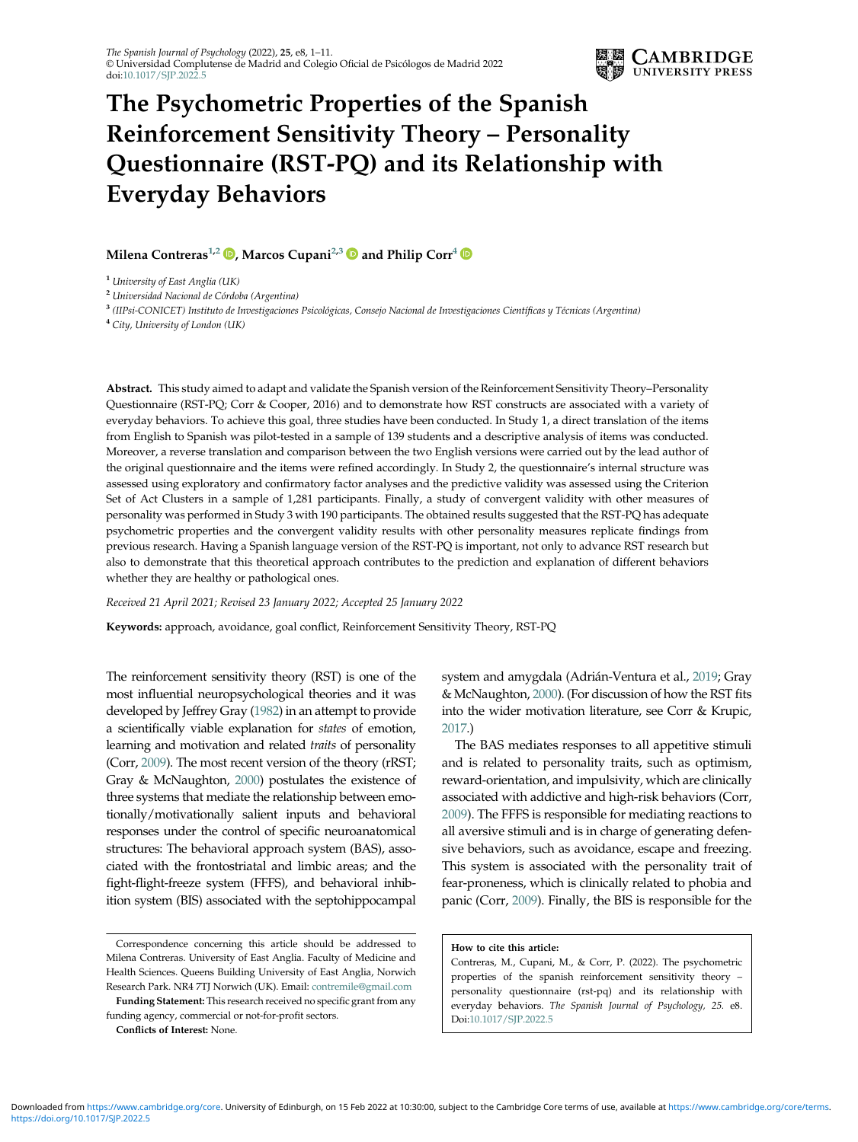

# The Psychometric Properties of the Spanish Reinforcement Sensitivity Theory – Personality Questionnaire (RST-PQ) and its Relationship with Everyday Behaviors

## Milena Contreras<sup>1,2</sup>  $\bullet$ , Marcos Cupani<sup>2,3</sup>  $\bullet$  and Philip Corr<sup>4</sup>  $\bullet$

<sup>1</sup> University of East Anglia (UK)

<sup>2</sup> Universidad Nacional de Córdoba (Argentina)

<sup>3</sup> (IIPsi-CONICET) Instituto de Investigaciones Psicológicas, Consejo Nacional de Investigaciones Científicas y Técnicas (Argentina)

<sup>4</sup> City, University of London (UK)

Abstract. This study aimed to adapt and validate the Spanish version of the Reinforcement Sensitivity Theory–Personality Questionnaire (RST-PQ; Corr & Cooper, 2016) and to demonstrate how RST constructs are associated with a variety of everyday behaviors. To achieve this goal, three studies have been conducted. In Study 1, a direct translation of the items from English to Spanish was pilot-tested in a sample of 139 students and a descriptive analysis of items was conducted. Moreover, a reverse translation and comparison between the two English versions were carried out by the lead author of the original questionnaire and the items were refined accordingly. In Study 2, the questionnaire's internal structure was assessed using exploratory and confirmatory factor analyses and the predictive validity was assessed using the Criterion Set of Act Clusters in a sample of 1,281 participants. Finally, a study of convergent validity with other measures of personality was performed in Study 3 with 190 participants. The obtained results suggested that the RST-PQ has adequate psychometric properties and the convergent validity results with other personality measures replicate findings from previous research. Having a Spanish language version of the RST-PQ is important, not only to advance RST research but also to demonstrate that this theoretical approach contributes to the prediction and explanation of different behaviors whether they are healthy or pathological ones.

Received 21 April 2021; Revised 23 January 2022; Accepted 25 January 2022

Keywords: approach, avoidance, goal conflict, Reinforcement Sensitivity Theory, RST-PQ

The reinforcement sensitivity theory (RST) is one of the most influential neuropsychological theories and it was developed by Jeffrey Gray [\(1982\)](#page-8-0) in an attempt to provide a scientifically viable explanation for states of emotion, learning and motivation and related traits of personality (Corr, [2009](#page-8-1)). The most recent version of the theory (rRST; Gray & McNaughton, [2000](#page-8-2)) postulates the existence of three systems that mediate the relationship between emotionally/motivationally salient inputs and behavioral responses under the control of specific neuroanatomical structures: The behavioral approach system (BAS), associated with the frontostriatal and limbic areas; and the fight-flight-freeze system (FFFS), and behavioral inhibition system (BIS) associated with the septohippocampal

The BAS mediates responses to all appetitive stimuli and is related to personality traits, such as optimism, reward-orientation, and impulsivity, which are clinically associated with addictive and high-risk behaviors (Corr, [2009](#page-8-1)). The FFFS is responsible for mediating reactions to all aversive stimuli and is in charge of generating defensive behaviors, such as avoidance, escape and freezing. This system is associated with the personality trait of fear-proneness, which is clinically related to phobia and panic (Corr, [2009](#page-8-1)). Finally, the BIS is responsible for the

Contreras, M., Cupani, M., & Corr, P. (2022). The psychometric properties of the spanish reinforcement sensitivity theory – personality questionnaire (rst-pq) and its relationship with everyday behaviors. The Spanish Journal of Psychology, 25. e8. Doi[:10.1017/SJP.2022.5](https://doi.org/10.1017/SJP.2022.5)

Correspondence concerning this article should be addressed to Milena Contreras. University of East Anglia. Faculty of Medicine and Health Sciences. Queens Building University of East Anglia, Norwich Research Park. NR4 7TJ Norwich (UK). Email: [contremile@gmail.com](mailto:contremile@gmail.com)

Funding Statement: This research received no specific grant from any funding agency, commercial or not-for-profit sectors.

Conflicts of Interest: None.

system and amygdala (Adrián-Ventura et al., [2019](#page-8-3); Gray & McNaughton, [2000](#page-8-2)). (For discussion of how the RST fits into the wider motivation literature, see Corr & Krupic, [2017](#page-8-4).)

How to cite this article: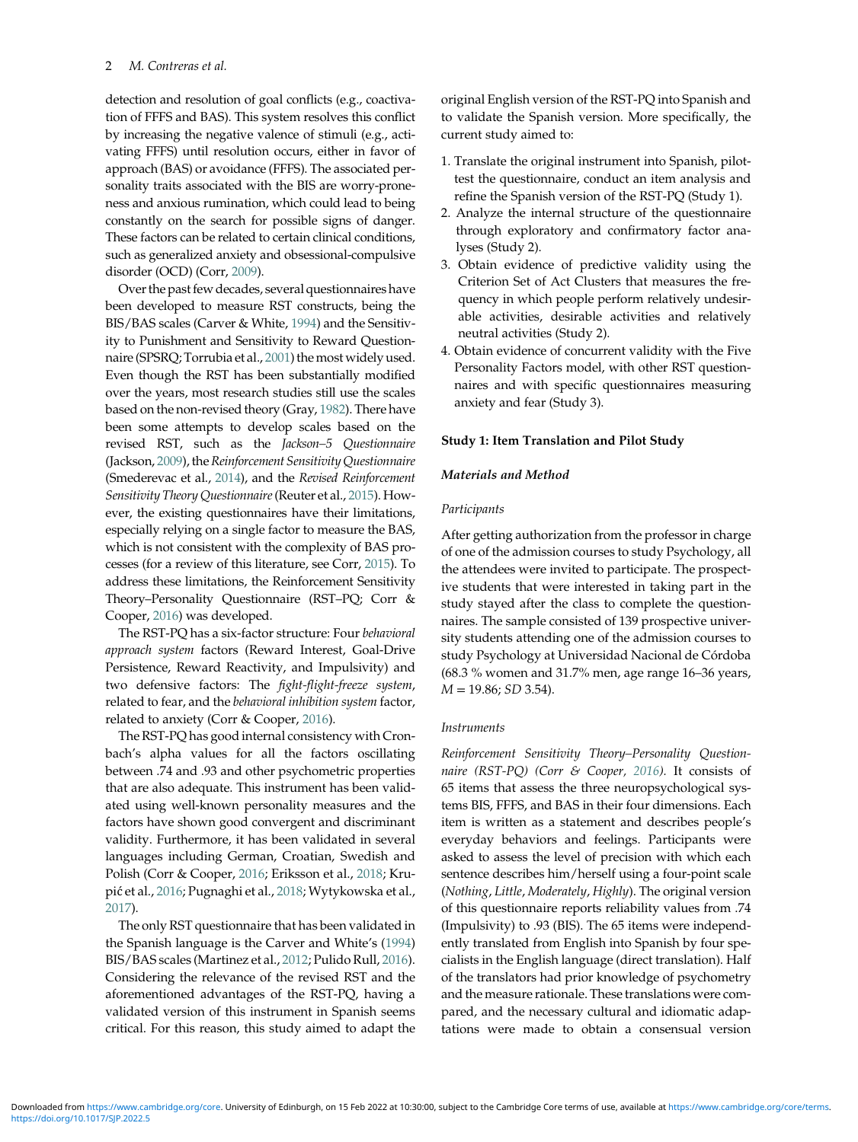detection and resolution of goal conflicts (e.g., coactivation of FFFS and BAS). This system resolves this conflict by increasing the negative valence of stimuli (e.g., activating FFFS) until resolution occurs, either in favor of approach (BAS) or avoidance (FFFS). The associated personality traits associated with the BIS are worry-proneness and anxious rumination, which could lead to being constantly on the search for possible signs of danger. These factors can be related to certain clinical conditions, such as generalized anxiety and obsessional-compulsive disorder (OCD) (Corr, [2009\)](#page-8-1).

Over the past few decades, several questionnaires have been developed to measure RST constructs, being the BIS/BAS scales (Carver & White, [1994\)](#page-8-5) and the Sensitivity to Punishment and Sensitivity to Reward Questionnaire (SPSRQ; Torrubia et al., [2001\)](#page-9-0) the most widely used. Even though the RST has been substantially modified over the years, most research studies still use the scales based on the non-revised theory (Gray, [1982\)](#page-8-0). There have been some attempts to develop scales based on the revised RST, such as the Jackson–5 Questionnaire (Jackson, [2009\)](#page-8-6), the Reinforcement Sensitivity Questionnaire (Smederevac et al., [2014](#page-9-1)), and the Revised Reinforcement Sensitivity Theory Questionnaire(Reuter et al., [2015\)](#page-9-2). However, the existing questionnaires have their limitations, especially relying on a single factor to measure the BAS, which is not consistent with the complexity of BAS processes (for a review of this literature, see Corr, [2015\)](#page-8-7). To address these limitations, the Reinforcement Sensitivity Theory–Personality Questionnaire (RST–PQ; Corr & Cooper, [2016\)](#page-8-8) was developed.

The RST-PQ has a six-factor structure: Four behavioral approach system factors (Reward Interest, Goal-Drive Persistence, Reward Reactivity, and Impulsivity) and two defensive factors: The fight-flight-freeze system, related to fear, and the behavioral inhibition system factor, related to anxiety (Corr & Cooper, [2016](#page-8-8)).

The RST-PQ has good internal consistency with Cronbach's alpha values for all the factors oscillating between .74 and .93 and other psychometric properties that are also adequate. This instrument has been validated using well-known personality measures and the factors have shown good convergent and discriminant validity. Furthermore, it has been validated in several languages including German, Croatian, Swedish and Polish (Corr & Cooper, [2016;](#page-8-8) Eriksson et al., [2018;](#page-8-9) Krupić et al., [2016;](#page-9-3) Pugnaghi et al., [2018](#page-9-4); Wytykowska et al., [2017](#page-10-0)).

The only RST questionnaire that has been validated in the Spanish language is the Carver and White's ([1994\)](#page-8-5) BIS/BAS scales (Martinez et al., [2012](#page-9-5); Pulido Rull, [2016](#page-9-6)). Considering the relevance of the revised RST and the aforementioned advantages of the RST-PQ, having a validated version of this instrument in Spanish seems critical. For this reason, this study aimed to adapt the

original English version of the RST-PQ into Spanish and to validate the Spanish version. More specifically, the current study aimed to:

- 1. Translate the original instrument into Spanish, pilottest the questionnaire, conduct an item analysis and refine the Spanish version of the RST-PQ (Study 1).
- 2. Analyze the internal structure of the questionnaire through exploratory and confirmatory factor analyses (Study 2).
- 3. Obtain evidence of predictive validity using the Criterion Set of Act Clusters that measures the frequency in which people perform relatively undesirable activities, desirable activities and relatively neutral activities (Study 2).
- 4. Obtain evidence of concurrent validity with the Five Personality Factors model, with other RST questionnaires and with specific questionnaires measuring anxiety and fear (Study 3).

#### Study 1: Item Translation and Pilot Study

#### Materials and Method

#### Participants

After getting authorization from the professor in charge of one of the admission courses to study Psychology, all the attendees were invited to participate. The prospective students that were interested in taking part in the study stayed after the class to complete the questionnaires. The sample consisted of 139 prospective university students attending one of the admission courses to study Psychology at Universidad Nacional de Córdoba (68.3 % women and 31.7% men, age range 16–36 years,  $M = 19.86$ ; SD 3.54).

## Instruments

Reinforcement Sensitivity Theory–Personality Question-naire (RST-PQ) (Corr & Cooper, [2016\)](#page-8-8). It consists of 65 items that assess the three neuropsychological systems BIS, FFFS, and BAS in their four dimensions. Each item is written as a statement and describes people's everyday behaviors and feelings. Participants were asked to assess the level of precision with which each sentence describes him/herself using a four-point scale (Nothing, Little, Moderately, Highly). The original version of this questionnaire reports reliability values from .74 (Impulsivity) to .93 (BIS). The 65 items were independently translated from English into Spanish by four specialists in the English language (direct translation). Half of the translators had prior knowledge of psychometry and the measure rationale. These translations were compared, and the necessary cultural and idiomatic adaptations were made to obtain a consensual version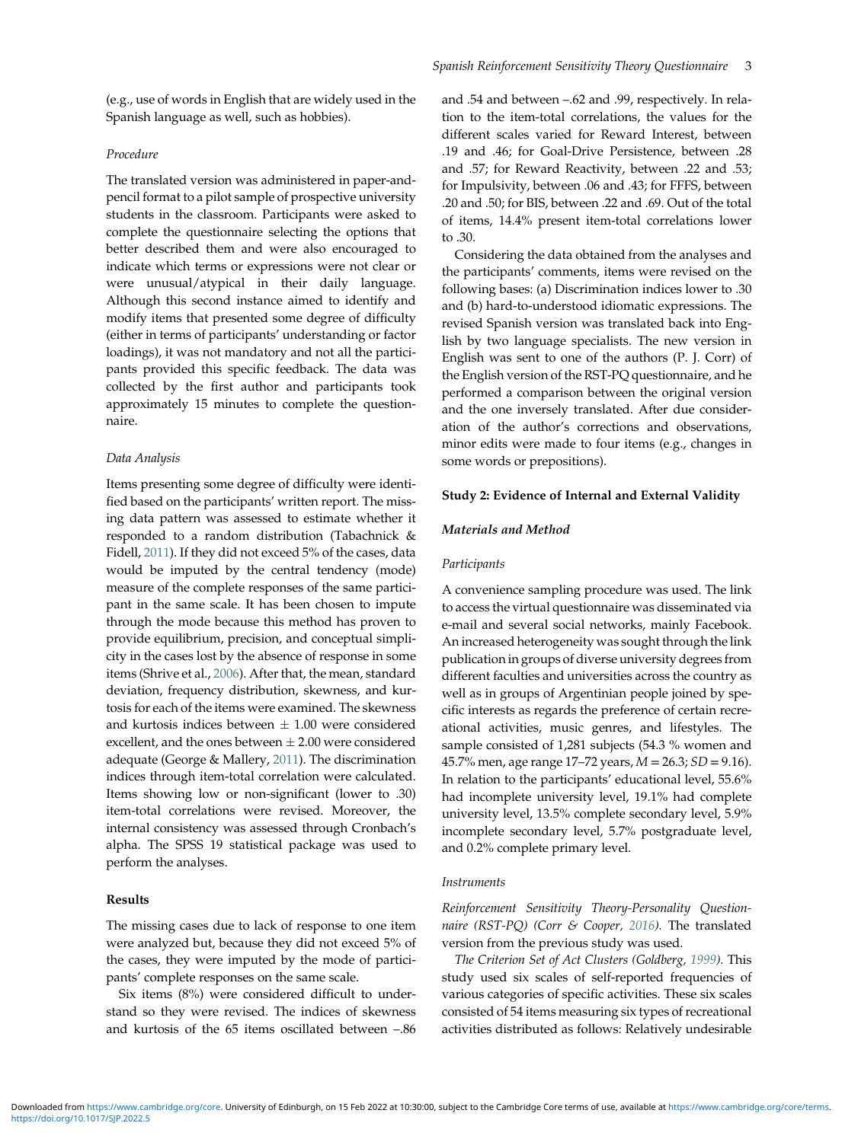(e.g., use of words in English that are widely used in the Spanish language as well, such as hobbies).

#### Procedure

The translated version was administered in paper-andpencil format to a pilot sample of prospective university students in the classroom. Participants were asked to complete the questionnaire selecting the options that better described them and were also encouraged to indicate which terms or expressions were not clear or were unusual/atypical in their daily language. Although this second instance aimed to identify and modify items that presented some degree of difficulty (either in terms of participants' understanding or factor loadings), it was not mandatory and not all the participants provided this specific feedback. The data was collected by the first author and participants took approximately 15 minutes to complete the questionnaire.

#### Data Analysis

Items presenting some degree of difficulty were identified based on the participants' written report. The missing data pattern was assessed to estimate whether it responded to a random distribution (Tabachnick & Fidell, [2011\)](#page-9-7). If they did not exceed 5% of the cases, data would be imputed by the central tendency (mode) measure of the complete responses of the same participant in the same scale. It has been chosen to impute through the mode because this method has proven to provide equilibrium, precision, and conceptual simplicity in the cases lost by the absence of response in some items (Shrive et al., [2006](#page-9-8)). After that, the mean, standard deviation, frequency distribution, skewness, and kurtosis for each of the items were examined. The skewness and kurtosis indices between  $+1.00$  were considered excellent, and the ones between  $\pm 2.00$  were considered adequate (George & Mallery, [2011\)](#page-8-10). The discrimination indices through item-total correlation were calculated. Items showing low or non-significant (lower to .30) item-total correlations were revised. Moreover, the internal consistency was assessed through Cronbach's alpha. The SPSS 19 statistical package was used to perform the analyses.

## Results

The missing cases due to lack of response to one item were analyzed but, because they did not exceed 5% of the cases, they were imputed by the mode of participants' complete responses on the same scale.

Six items (8%) were considered difficult to understand so they were revised. The indices of skewness and kurtosis of the 65 items oscillated between –.86

and .54 and between –.62 and .99, respectively. In relation to the item-total correlations, the values for the different scales varied for Reward Interest, between .19 and .46; for Goal-Drive Persistence, between .28 and .57; for Reward Reactivity, between .22 and .53; for Impulsivity, between .06 and .43; for FFFS, between .20 and .50; for BIS, between .22 and .69. Out of the total of items, 14.4% present item-total correlations lower to .30.

Considering the data obtained from the analyses and the participants' comments, items were revised on the following bases: (a) Discrimination indices lower to .30 and (b) hard-to-understood idiomatic expressions. The revised Spanish version was translated back into English by two language specialists. The new version in English was sent to one of the authors (P. J. Corr) of the English version of the RST-PQ questionnaire, and he performed a comparison between the original version and the one inversely translated. After due consideration of the author's corrections and observations, minor edits were made to four items (e.g., changes in some words or prepositions).

#### Study 2: Evidence of Internal and External Validity

#### Materials and Method

#### Participants

A convenience sampling procedure was used. The link to access the virtual questionnaire was disseminated via e-mail and several social networks, mainly Facebook. An increased heterogeneity was sought through the link publication in groups of diverse university degrees from different faculties and universities across the country as well as in groups of Argentinian people joined by specific interests as regards the preference of certain recreational activities, music genres, and lifestyles. The sample consisted of 1,281 subjects (54.3 % women and 45.7% men, age range 17–72 years, M = 26.3; SD = 9.16). In relation to the participants' educational level, 55.6% had incomplete university level, 19.1% had complete university level, 13.5% complete secondary level, 5.9% incomplete secondary level, 5.7% postgraduate level, and 0.2% complete primary level.

#### **Instruments**

Reinforcement Sensitivity Theory-Personality Question-naire (RST-PQ) (Corr & Cooper, [2016\)](#page-8-8). The translated version from the previous study was used.

The Criterion Set of Act Clusters (Goldberg, [1999](#page-8-11)). This study used six scales of self-reported frequencies of various categories of specific activities. These six scales consisted of 54 items measuring six types of recreational activities distributed as follows: Relatively undesirable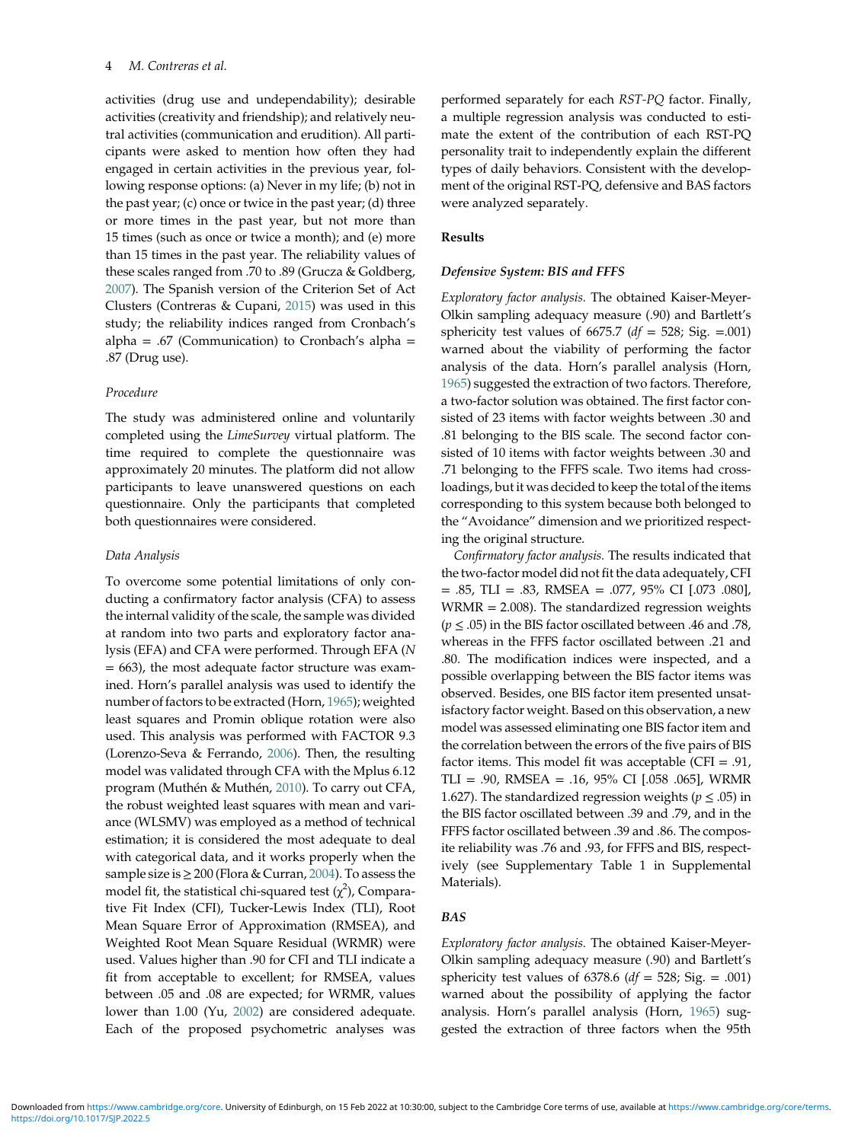activities (drug use and undependability); desirable activities (creativity and friendship); and relatively neutral activities (communication and erudition). All participants were asked to mention how often they had engaged in certain activities in the previous year, following response options: (a) Never in my life; (b) not in the past year; (c) once or twice in the past year; (d) three or more times in the past year, but not more than 15 times (such as once or twice a month); and (e) more than 15 times in the past year. The reliability values of these scales ranged from .70 to .89 (Grucza & Goldberg, [2007](#page-8-12)). The Spanish version of the Criterion Set of Act Clusters (Contreras & Cupani, [2015](#page-8-13)) was used in this study; the reliability indices ranged from Cronbach's alpha = .67 (Communication) to Cronbach's alpha = .87 (Drug use).

### Procedure

The study was administered online and voluntarily completed using the LimeSurvey virtual platform. The time required to complete the questionnaire was approximately 20 minutes. The platform did not allow participants to leave unanswered questions on each questionnaire. Only the participants that completed both questionnaires were considered.

#### Data Analysis

To overcome some potential limitations of only conducting a confirmatory factor analysis (CFA) to assess the internal validity of the scale, the sample was divided at random into two parts and exploratory factor analysis (EFA) and CFA were performed. Through EFA (N  $= 663$ ), the most adequate factor structure was examined. Horn's parallel analysis was used to identify the number of factors to be extracted (Horn, [1965](#page-8-14)); weighted least squares and Promin oblique rotation were also used. This analysis was performed with FACTOR 9.3 (Lorenzo-Seva & Ferrando, [2006\)](#page-9-9). Then, the resulting model was validated through CFA with the Mplus 6.12 program (Muthén & Muthén, [2010\)](#page-9-10). To carry out CFA, the robust weighted least squares with mean and variance (WLSMV) was employed as a method of technical estimation; it is considered the most adequate to deal with categorical data, and it works properly when the sample size is  $\geq 200$  (Flora & Curran, [2004\)](#page-8-15). To assess the model fit, the statistical chi-squared test ( $\chi^2$ ), Comparative Fit Index (CFI), Tucker-Lewis Index (TLI), Root Mean Square Error of Approximation (RMSEA), and Weighted Root Mean Square Residual (WRMR) were used. Values higher than .90 for CFI and TLI indicate a fit from acceptable to excellent; for RMSEA, values between .05 and .08 are expected; for WRMR, values lower than 1.00 (Yu, [2002\)](#page-10-1) are considered adequate. Each of the proposed psychometric analyses was

performed separately for each RST-PQ factor. Finally, a multiple regression analysis was conducted to estimate the extent of the contribution of each RST-PQ personality trait to independently explain the different types of daily behaviors. Consistent with the development of the original RST-PQ, defensive and BAS factors were analyzed separately.

#### Results

#### Defensive System: BIS and FFFS

Exploratory factor analysis. The obtained Kaiser-Meyer-Olkin sampling adequacy measure (.90) and Bartlett's sphericity test values of  $6675.7$  ( $df = 528$ ; Sig. = .001) warned about the viability of performing the factor analysis of the data. Horn's parallel analysis (Horn, [1965](#page-8-14)) suggested the extraction of two factors. Therefore, a two-factor solution was obtained. The first factor consisted of 23 items with factor weights between .30 and .81 belonging to the BIS scale. The second factor consisted of 10 items with factor weights between .30 and .71 belonging to the FFFS scale. Two items had crossloadings, but it was decided to keep the total of the items corresponding to this system because both belonged to the "Avoidance" dimension and we prioritized respecting the original structure.

Confirmatory factor analysis. The results indicated that the two-factor model did not fit the data adequately, CFI  $= .85$ , TLI  $= .83$ , RMSEA  $= .077$ , 95% CI [.073 .080], WRMR = 2.008). The standardized regression weights  $(p \leq .05)$  in the BIS factor oscillated between .46 and .78, whereas in the FFFS factor oscillated between .21 and .80. The modification indices were inspected, and a possible overlapping between the BIS factor items was observed. Besides, one BIS factor item presented unsatisfactory factor weight. Based on this observation, a new model was assessed eliminating one BIS factor item and the correlation between the errors of the five pairs of BIS factor items. This model fit was acceptable (CFI = .91, TLI = .90, RMSEA = .16, 95% CI [.058 .065], WRMR 1.627). The standardized regression weights ( $p \leq .05$ ) in the BIS factor oscillated between .39 and .79, and in the FFFS factor oscillated between .39 and .86. The composite reliability was .76 and .93, for FFFS and BIS, respectively (see Supplementary Table 1 in Supplemental Materials).

#### BAS

Exploratory factor analysis. The obtained Kaiser-Meyer-Olkin sampling adequacy measure (.90) and Bartlett's sphericity test values of 6378.6 ( $df = 528$ ; Sig. = .001) warned about the possibility of applying the factor analysis. Horn's parallel analysis (Horn, [1965\)](#page-8-14) suggested the extraction of three factors when the 95th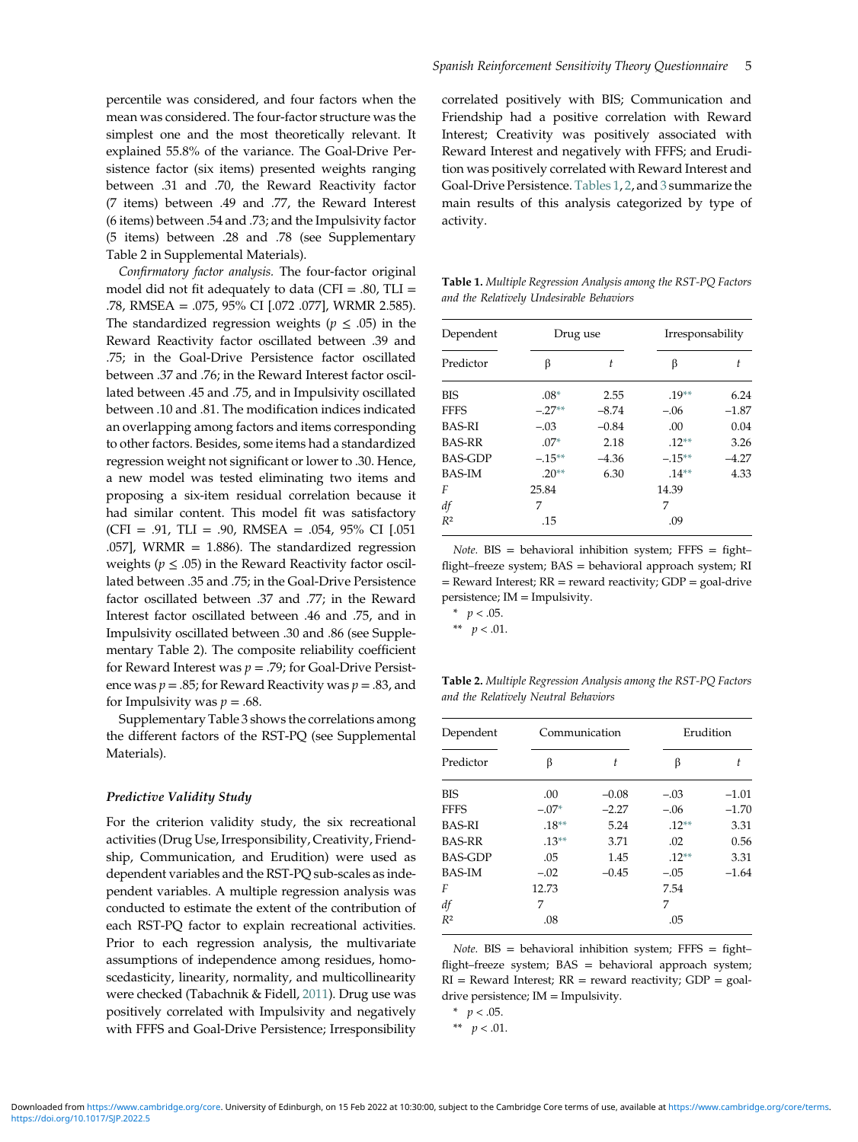percentile was considered, and four factors when the mean was considered. The four-factor structure was the simplest one and the most theoretically relevant. It explained 55.8% of the variance. The Goal-Drive Persistence factor (six items) presented weights ranging between .31 and .70, the Reward Reactivity factor (7 items) between .49 and .77, the Reward Interest (6 items) between .54 and .73; and the Impulsivity factor (5 items) between .28 and .78 (see Supplementary Table 2 in Supplemental Materials).

<span id="page-4-0"></span>Confirmatory factor analysis. The four-factor original model did not fit adequately to data (CFI = .80, TLI = .78, RMSEA = .075, 95% CI [.072 .077], WRMR 2.585). The standardized regression weights ( $p \leq .05$ ) in the Reward Reactivity factor oscillated between .39 and .75; in the Goal-Drive Persistence factor oscillated between .37 and .76; in the Reward Interest factor oscillated between .45 and .75, and in Impulsivity oscillated between .10 and .81. The modification indices indicated an overlapping among factors and items corresponding to other factors. Besides, some items had a standardized regression weight not significant or lower to .30. Hence, a new model was tested eliminating two items and proposing a six-item residual correlation because it had similar content. This model fit was satisfactory (CFI = .91, TLI = .90, RMSEA = .054, 95% CI  $[.051]$ .057], WRMR =  $1.886$ ). The standardized regression weights ( $p \leq .05$ ) in the Reward Reactivity factor oscillated between .35 and .75; in the Goal-Drive Persistence factor oscillated between .37 and .77; in the Reward Interest factor oscillated between .46 and .75, and in Impulsivity oscillated between .30 and .86 (see Supplementary Table 2). The composite reliability coefficient for Reward Interest was  $p = .79$ ; for Goal-Drive Persistence was  $p = .85$ ; for Reward Reactivity was  $p = .83$ , and for Impulsivity was  $p = .68$ .

<span id="page-4-3"></span><span id="page-4-2"></span><span id="page-4-1"></span>Supplementary Table 3 shows the correlations among the different factors of the RST-PQ (see Supplemental Materials).

#### Predictive Validity Study

<span id="page-4-5"></span><span id="page-4-4"></span>For the criterion validity study, the six recreational activities (Drug Use, Irresponsibility, Creativity, Friendship, Communication, and Erudition) were used as dependent variables and the RST-PQ sub-scales as independent variables. A multiple regression analysis was conducted to estimate the extent of the contribution of each RST-PQ factor to explain recreational activities. Prior to each regression analysis, the multivariate assumptions of independence among residues, homoscedasticity, linearity, normality, and multicollinearity were checked (Tabachnik & Fidell, [2011](#page-9-7)). Drug use was positively correlated with Impulsivity and negatively with FFFS and Goal-Drive Persistence; Irresponsibility

correlated positively with BIS; Communication and Friendship had a positive correlation with Reward Interest; Creativity was positively associated with Reward Interest and negatively with FFFS; and Erudition was positively correlated with Reward Interest and Goal-Drive Persistence. [Tables 1](#page-4-0), [2](#page-4-1), and [3](#page-5-0) summarize the main results of this analysis categorized by type of activity.

Table 1. Multiple Regression Analysis among the RST-PQ Factors and the Relatively Undesirable Behaviors

| Dependent      | Drug use |         | Irresponsability |         |  |
|----------------|----------|---------|------------------|---------|--|
| Predictor      | ß        | t       | β                | ŧ       |  |
| <b>BIS</b>     | $.08*$   | 2.55    | $.19**$          | 6.24    |  |
| <b>FFFS</b>    | $-.27**$ | $-8.74$ | $-.06$           | $-1.87$ |  |
| <b>BAS-RI</b>  | $-.03$   | $-0.84$ | .00              | 0.04    |  |
| <b>BAS-RR</b>  | $.07*$   | 2.18    | $.12**$          | 3.26    |  |
| <b>BAS-GDP</b> | $-.15**$ | $-4.36$ | $-15**$          | $-4.27$ |  |
| <b>BAS-IM</b>  | $.20**$  | 6.30    | $.14**$          | 4.33    |  |
| F              | 25.84    |         | 14.39            |         |  |
| df             | 7        |         | 7                |         |  |
| R <sup>2</sup> | .15      |         | .09              |         |  |

Note.  $BIS =$  behavioral inhibition system;  $FFFS = fight$ flight–freeze system; BAS = behavioral approach system; RI  $=$  Reward Interest;  $RR =$  reward reactivity;  $GDP =$  goal-drive persistence; IM = Impulsivity.

 $p < .05$ .

\*\*  $p < .01$ .

Table 2. Multiple Regression Analysis among the RST-PQ Factors and the Relatively Neutral Behaviors

| Dependent      | Communication |         |         | Erudition |  |
|----------------|---------------|---------|---------|-----------|--|
| Predictor      | β             | t       | β       | t         |  |
| BIS            | .00           | $-0.08$ | $-.03$  | $-1.01$   |  |
| <b>FFFS</b>    | $-.07*$       | $-2.27$ | $-.06$  | $-1.70$   |  |
| <b>BAS-RI</b>  | $.18**$       | 5.24    | $.12**$ | 3.31      |  |
| <b>BAS-RR</b>  | $.13***$      | 3.71    | .02     | 0.56      |  |
| <b>BAS-GDP</b> | .05           | 1.45    | $.12**$ | 3.31      |  |
| <b>BAS-IM</b>  | $-.02$        | $-0.45$ | $-.05$  | $-1.64$   |  |
| F              | 12.73         |         | 7.54    |           |  |
| df             | 7             |         | 7       |           |  |
| R <sup>2</sup> | .08           |         | .05     |           |  |

Note. BIS = behavioral inhibition system; FFFS = fight– flight–freeze system; BAS = behavioral approach system;  $RI =$  Reward Interest;  $RR =$  reward reactivity;  $GDP = goal$ drive persistence; IM = Impulsivity.

$$
^* p < .05.
$$

\*\*  $p < .01$ .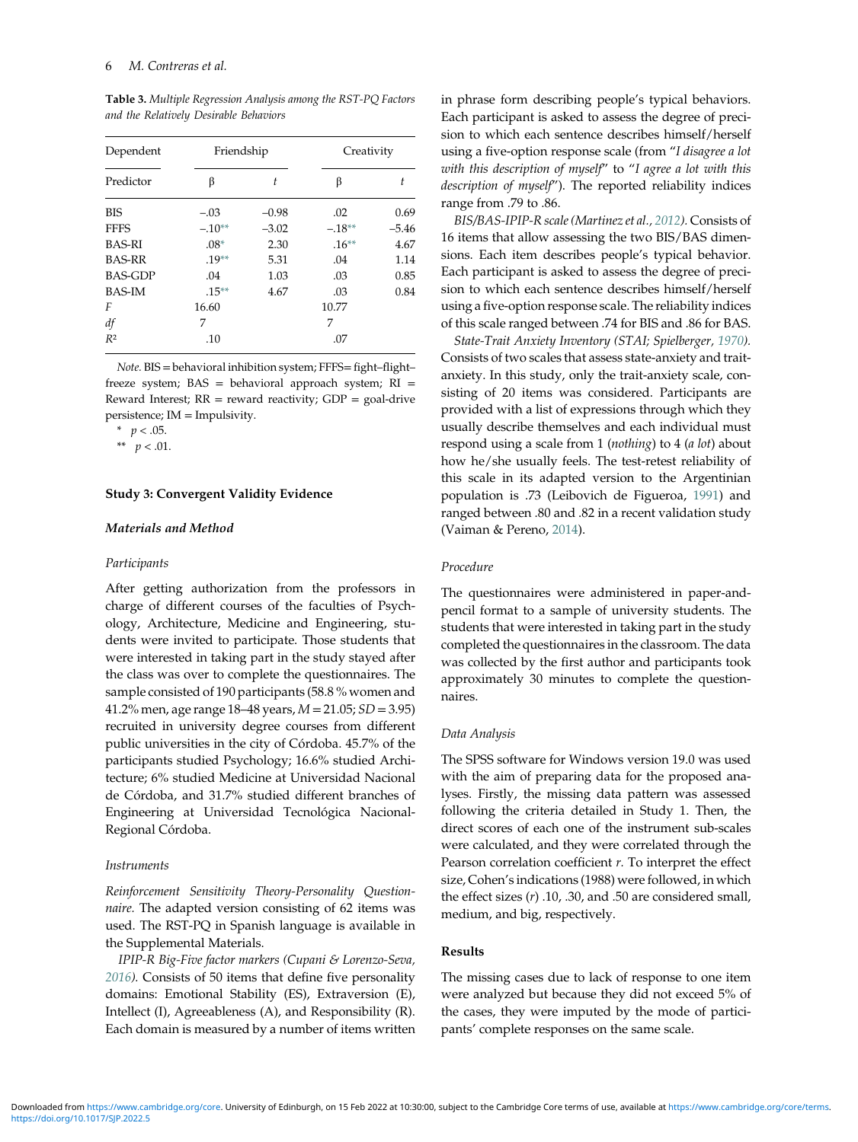<span id="page-5-0"></span>Table 3. Multiple Regression Analysis among the RST-PQ Factors and the Relatively Desirable Behaviors

| Dependent      | Friendship |         |          | Creativity |  |
|----------------|------------|---------|----------|------------|--|
| Predictor      | β          | t       | β        | t          |  |
| BIS            | $-.03$     | $-0.98$ | .02      | 0.69       |  |
| <b>FFFS</b>    | $-.10**$   | $-3.02$ | $-.18**$ | $-5.46$    |  |
| <b>BAS-RI</b>  | $.08*$     | 2.30    | $.16**$  | 4.67       |  |
| <b>BAS-RR</b>  | $.19**$    | 5.31    | .04      | 1.14       |  |
| <b>BAS-GDP</b> | .04        | 1.03    | .03      | 0.85       |  |
| <b>BAS-IM</b>  | $.15***$   | 4.67    | .03      | 0.84       |  |
| F              | 16.60      |         | 10.77    |            |  |
| df             | 7          |         | 7        |            |  |
| R <sup>2</sup> | .10        |         | .07      |            |  |

Note. BIS = behavioral inhibition system; FFFS= fight–flight– freeze system;  $BAS =$  behavioral approach system;  $RI =$ Reward Interest;  $RR = reward$  reactivity;  $GDP = goal-driven$ -drive persistence; IM = Impulsivity.

<span id="page-5-2"></span> $p < .05$ .

<span id="page-5-1"></span>\*\*  $p < .01$ .

#### Study 3: Convergent Validity Evidence

#### Materials and Method

#### Participants

After getting authorization from the professors in charge of different courses of the faculties of Psychology, Architecture, Medicine and Engineering, students were invited to participate. Those students that were interested in taking part in the study stayed after the class was over to complete the questionnaires. The sample consisted of 190 participants (58.8 % women and 41.2% men, age range 18–48 years,  $M = 21.05$ ;  $SD = 3.95$ ) recruited in university degree courses from different public universities in the city of Córdoba. 45.7% of the participants studied Psychology; 16.6% studied Architecture; 6% studied Medicine at Universidad Nacional de Córdoba, and 31.7% studied different branches of Engineering at Universidad Tecnológica Nacional-Regional Córdoba.

#### Instruments

Reinforcement Sensitivity Theory-Personality Questionnaire. The adapted version consisting of 62 items was used. The RST-PQ in Spanish language is available in the Supplemental Materials.

IPIP-R Big-Five factor markers (Cupani & Lorenzo-Seva, [2016](#page-8-16)). Consists of 50 items that define five personality domains: Emotional Stability (ES), Extraversion (E), Intellect (I), Agreeableness (A), and Responsibility (R). Each domain is measured by a number of items written

in phrase form describing people's typical behaviors. Each participant is asked to assess the degree of precision to which each sentence describes himself/herself using a five-option response scale (from "I disagree a lot with this description of myself" to "I agree a lot with this description of myself"). The reported reliability indices range from .79 to .86.

BIS/BAS-IPIP-R scale (Martinez et al., [2012\)](#page-9-5). Consists of 16 items that allow assessing the two BIS/BAS dimensions. Each item describes people's typical behavior. Each participant is asked to assess the degree of precision to which each sentence describes himself/herself using a five-option response scale. The reliability indices of this scale ranged between .74 for BIS and .86 for BAS.

State-Trait Anxiety Inventory (STAI; Spielberger, [1970](#page-9-11)). Consists of two scales that assess state-anxiety and traitanxiety. In this study, only the trait-anxiety scale, consisting of 20 items was considered. Participants are provided with a list of expressions through which they usually describe themselves and each individual must respond using a scale from 1 (nothing) to 4 (a lot) about how he/she usually feels. The test-retest reliability of this scale in its adapted version to the Argentinian population is .73 (Leibovich de Figueroa, [1991](#page-9-12)) and ranged between .80 and .82 in a recent validation study (Vaiman & Pereno, [2014](#page-9-13)).

## Procedure

The questionnaires were administered in paper-andpencil format to a sample of university students. The students that were interested in taking part in the study completed the questionnaires in the classroom. The data was collected by the first author and participants took approximately 30 minutes to complete the questionnaires.

#### Data Analysis

The SPSS software for Windows version 19.0 was used with the aim of preparing data for the proposed analyses. Firstly, the missing data pattern was assessed following the criteria detailed in Study 1. Then, the direct scores of each one of the instrument sub-scales were calculated, and they were correlated through the Pearson correlation coefficient r. To interpret the effect size, Cohen's indications (1988) were followed, in which the effect sizes (r) .10, .30, and .50 are considered small, medium, and big, respectively.

#### Results

The missing cases due to lack of response to one item were analyzed but because they did not exceed 5% of the cases, they were imputed by the mode of participants' complete responses on the same scale.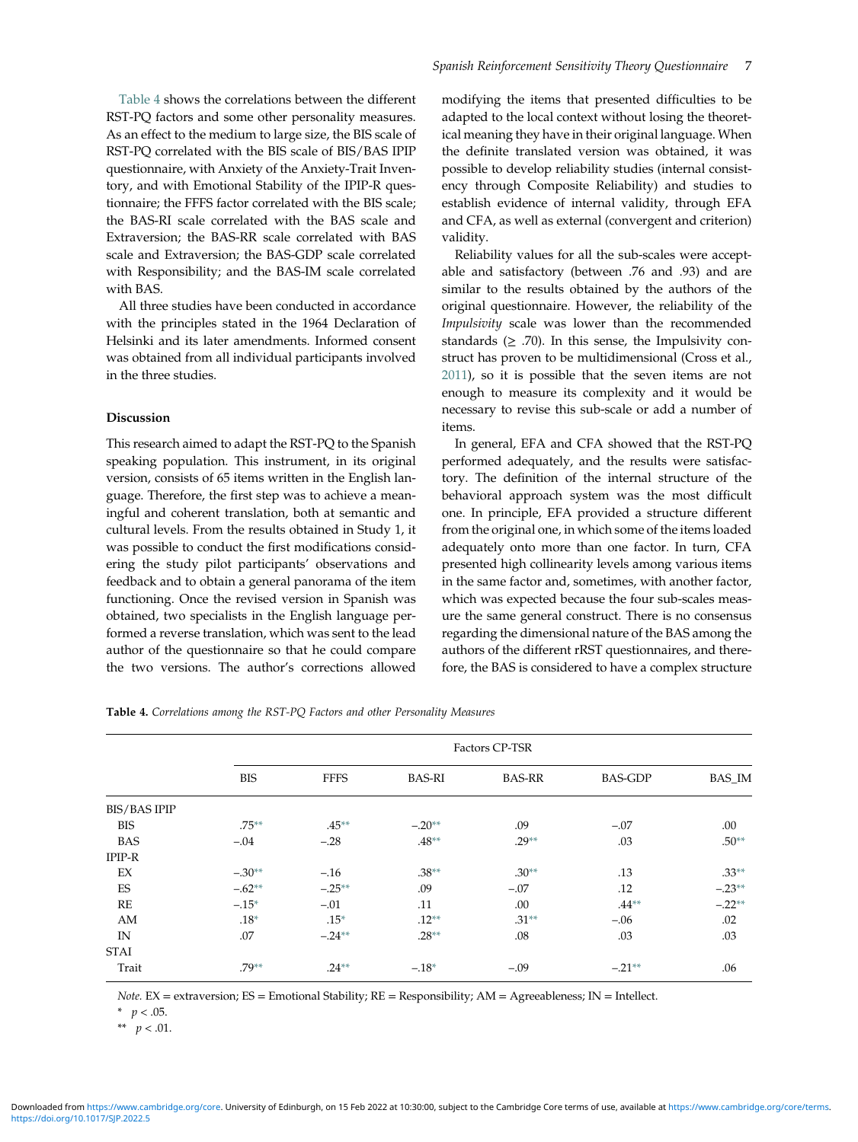[Table 4](#page-6-0) shows the correlations between the different RST-PQ factors and some other personality measures. As an effect to the medium to large size, the BIS scale of RST-PQ correlated with the BIS scale of BIS/BAS IPIP questionnaire, with Anxiety of the Anxiety-Trait Inventory, and with Emotional Stability of the IPIP-R questionnaire; the FFFS factor correlated with the BIS scale; the BAS-RI scale correlated with the BAS scale and Extraversion; the BAS-RR scale correlated with BAS scale and Extraversion; the BAS-GDP scale correlated with Responsibility; and the BAS-IM scale correlated with BAS.

All three studies have been conducted in accordance with the principles stated in the 1964 Declaration of Helsinki and its later amendments. Informed consent was obtained from all individual participants involved in the three studies.

#### Discussion

This research aimed to adapt the RST-PQ to the Spanish speaking population. This instrument, in its original version, consists of 65 items written in the English language. Therefore, the first step was to achieve a meaningful and coherent translation, both at semantic and cultural levels. From the results obtained in Study 1, it was possible to conduct the first modifications considering the study pilot participants' observations and feedback and to obtain a general panorama of the item functioning. Once the revised version in Spanish was obtained, two specialists in the English language performed a reverse translation, which was sent to the lead author of the questionnaire so that he could compare the two versions. The author's corrections allowed

modifying the items that presented difficulties to be adapted to the local context without losing the theoretical meaning they have in their original language. When the definite translated version was obtained, it was possible to develop reliability studies (internal consistency through Composite Reliability) and studies to establish evidence of internal validity, through EFA and CFA, as well as external (convergent and criterion) validity.

Reliability values for all the sub-scales were acceptable and satisfactory (between .76 and .93) and are similar to the results obtained by the authors of the original questionnaire. However, the reliability of the Impulsivity scale was lower than the recommended standards  $(≥ .70)$ . In this sense, the Impulsivity construct has proven to be multidimensional (Cross et al., [2011\)](#page-8-17), so it is possible that the seven items are not enough to measure its complexity and it would be necessary to revise this sub-scale or add a number of items.

In general, EFA and CFA showed that the RST-PQ performed adequately, and the results were satisfactory. The definition of the internal structure of the behavioral approach system was the most difficult one. In principle, EFA provided a structure different from the original one, in which some of the items loaded adequately onto more than one factor. In turn, CFA presented high collinearity levels among various items in the same factor and, sometimes, with another factor, which was expected because the four sub-scales measure the same general construct. There is no consensus regarding the dimensional nature of the BAS among the authors of the different rRST questionnaires, and therefore, the BAS is considered to have a complex structure

<span id="page-6-0"></span>Table 4. Correlations among the RST-PQ Factors and other Personality Measures

|                     | Factors CP-TSR |             |               |               |                |          |
|---------------------|----------------|-------------|---------------|---------------|----------------|----------|
|                     | <b>BIS</b>     | <b>FFFS</b> | <b>BAS-RI</b> | <b>BAS-RR</b> | <b>BAS-GDP</b> | BAS_IM   |
| <b>BIS/BAS IPIP</b> |                |             |               |               |                |          |
| <b>BIS</b>          | $.75***$       | $.45**$     | $-.20**$      | .09           | $-.07$         | .00      |
| <b>BAS</b>          | $-.04$         | $-.28$      | $.48**$       | $.29**$       | .03            | $.50**$  |
| $IPIP-R$            |                |             |               |               |                |          |
| EX                  | $-.30**$       | $-.16$      | $.38**$       | $.30**$       | .13            | $.33**$  |
| ES                  | $-.62**$       | $-.25**$    | .09           | $-.07$        | .12            | $-.23**$ |
| RE                  | $-.15*$        | $-.01$      | .11           | .00           | $.44**$        | $-.22**$ |
| AM                  | $.18*$         | $.15*$      | $.12**$       | $.31**$       | $-.06$         | .02      |
| IN                  | .07            | $-.24**$    | $.28**$       | .08           | .03            | .03      |
| <b>STAI</b>         |                |             |               |               |                |          |
| Trait               | $.79**$        | $.24**$     | $-.18*$       | $-.09$        | $-.21**$       | .06      |

<span id="page-6-2"></span><span id="page-6-1"></span>Note.  $EX =$  extraversion;  $ES =$  Emotional Stability;  $RE =$  Responsibility;  $AM =$  Agreeableness;  $IN =$  Intellect.

\*  $p < .05$ .

\*\*  $p < .01$ .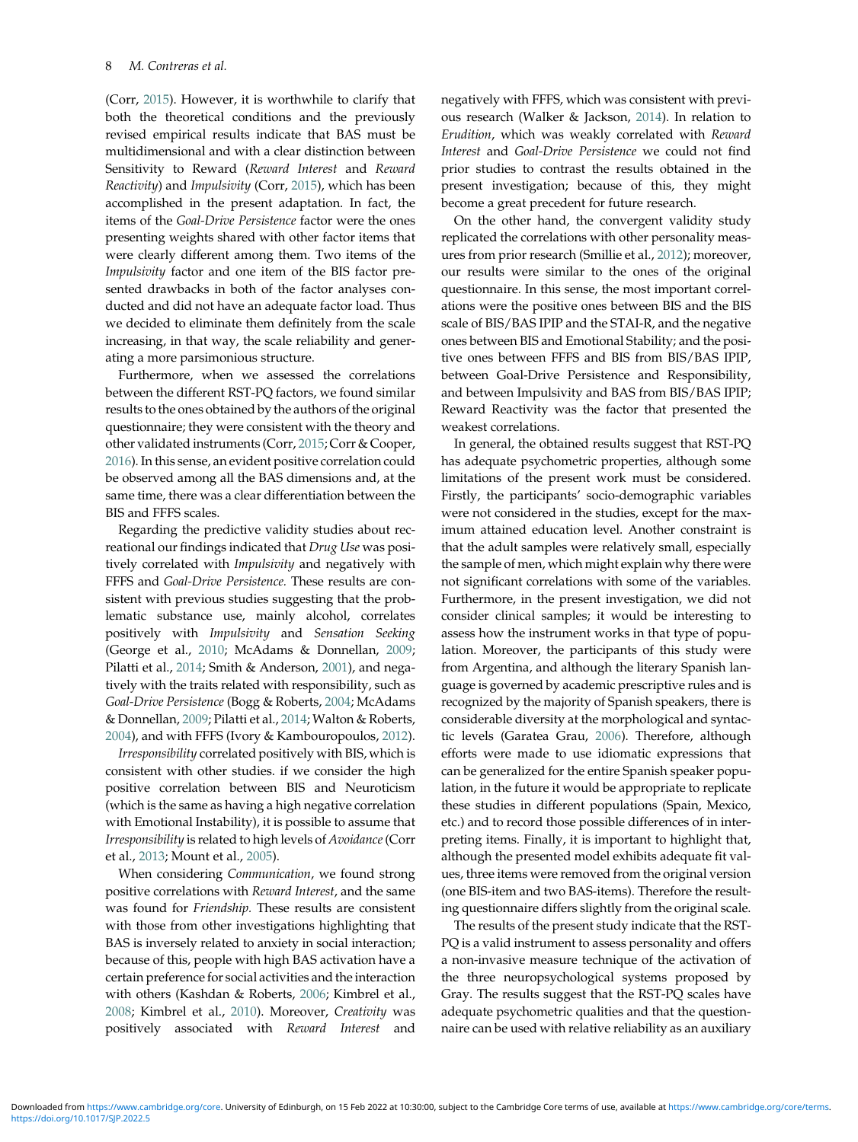(Corr, [2015\)](#page-8-7). However, it is worthwhile to clarify that both the theoretical conditions and the previously revised empirical results indicate that BAS must be multidimensional and with a clear distinction between Sensitivity to Reward (Reward Interest and Reward Reactivity) and Impulsivity (Corr, [2015](#page-8-7)), which has been accomplished in the present adaptation. In fact, the items of the Goal-Drive Persistence factor were the ones presenting weights shared with other factor items that were clearly different among them. Two items of the Impulsivity factor and one item of the BIS factor presented drawbacks in both of the factor analyses conducted and did not have an adequate factor load. Thus we decided to eliminate them definitely from the scale increasing, in that way, the scale reliability and generating a more parsimonious structure.

Furthermore, when we assessed the correlations between the different RST-PQ factors, we found similar results to the ones obtained by the authors of the original questionnaire; they were consistent with the theory and other validated instruments (Corr, [2015](#page-8-7); Corr & Cooper, [2016](#page-8-8)). In this sense, an evident positive correlation could be observed among all the BAS dimensions and, at the same time, there was a clear differentiation between the BIS and FFFS scales.

Regarding the predictive validity studies about recreational our findings indicated that Drug Use was positively correlated with Impulsivity and negatively with FFFS and Goal-Drive Persistence. These results are consistent with previous studies suggesting that the problematic substance use, mainly alcohol, correlates positively with Impulsivity and Sensation Seeking (George et al., [2010;](#page-8-18) McAdams & Donnellan, [2009](#page-9-14); Pilatti et al., [2014](#page-9-15); Smith & Anderson, [2001\)](#page-9-9), and negatively with the traits related with responsibility, such as Goal-Drive Persistence (Bogg & Roberts, [2004;](#page-8-19) McAdams & Donnellan, [2009;](#page-9-14) Pilatti et al., [2014](#page-9-15); Walton & Roberts, [2004](#page-10-1)), and with FFFS (Ivory & Kambouropoulos, [2012](#page-8-20)).

Irresponsibility correlated positively with BIS, which is consistent with other studies. if we consider the high positive correlation between BIS and Neuroticism (which is the same as having a high negative correlation with Emotional Instability), it is possible to assume that Irresponsibility is related to high levels of Avoidance(Corr et al., [2013](#page-8-21); Mount et al., [2005](#page-9-16)).

When considering Communication, we found strong positive correlations with Reward Interest, and the same was found for Friendship. These results are consistent with those from other investigations highlighting that BAS is inversely related to anxiety in social interaction; because of this, people with high BAS activation have a certain preference for social activities and the interaction with others (Kashdan & Roberts, [2006](#page-9-6); Kimbrel et al., [2008](#page-9-17); Kimbrel et al., [2010](#page-9-18)). Moreover, Creativity was positively associated with Reward Interest and

negatively with FFFS, which was consistent with previous research (Walker & Jackson, [2014\)](#page-9-19). In relation to Erudition, which was weakly correlated with Reward Interest and Goal-Drive Persistence we could not find prior studies to contrast the results obtained in the present investigation; because of this, they might become a great precedent for future research.

On the other hand, the convergent validity study replicated the correlations with other personality measures from prior research (Smillie et al., [2012](#page-9-20)); moreover, our results were similar to the ones of the original questionnaire. In this sense, the most important correlations were the positive ones between BIS and the BIS scale of BIS/BAS IPIP and the STAI-R, and the negative ones between BIS and Emotional Stability; and the positive ones between FFFS and BIS from BIS/BAS IPIP, between Goal-Drive Persistence and Responsibility, and between Impulsivity and BAS from BIS/BAS IPIP; Reward Reactivity was the factor that presented the weakest correlations.

In general, the obtained results suggest that RST-PQ has adequate psychometric properties, although some limitations of the present work must be considered. Firstly, the participants' socio-demographic variables were not considered in the studies, except for the maximum attained education level. Another constraint is that the adult samples were relatively small, especially the sample of men, which might explain why there were not significant correlations with some of the variables. Furthermore, in the present investigation, we did not consider clinical samples; it would be interesting to assess how the instrument works in that type of population. Moreover, the participants of this study were from Argentina, and although the literary Spanish language is governed by academic prescriptive rules and is recognized by the majority of Spanish speakers, there is considerable diversity at the morphological and syntactic levels (Garatea Grau, [2006](#page-8-22)). Therefore, although efforts were made to use idiomatic expressions that can be generalized for the entire Spanish speaker population, in the future it would be appropriate to replicate these studies in different populations (Spain, Mexico, etc.) and to record those possible differences of in interpreting items. Finally, it is important to highlight that, although the presented model exhibits adequate fit values, three items were removed from the original version (one BIS-item and two BAS-items). Therefore the resulting questionnaire differs slightly from the original scale.

The results of the present study indicate that the RST-PQ is a valid instrument to assess personality and offers a non-invasive measure technique of the activation of the three neuropsychological systems proposed by Gray. The results suggest that the RST-PQ scales have adequate psychometric qualities and that the questionnaire can be used with relative reliability as an auxiliary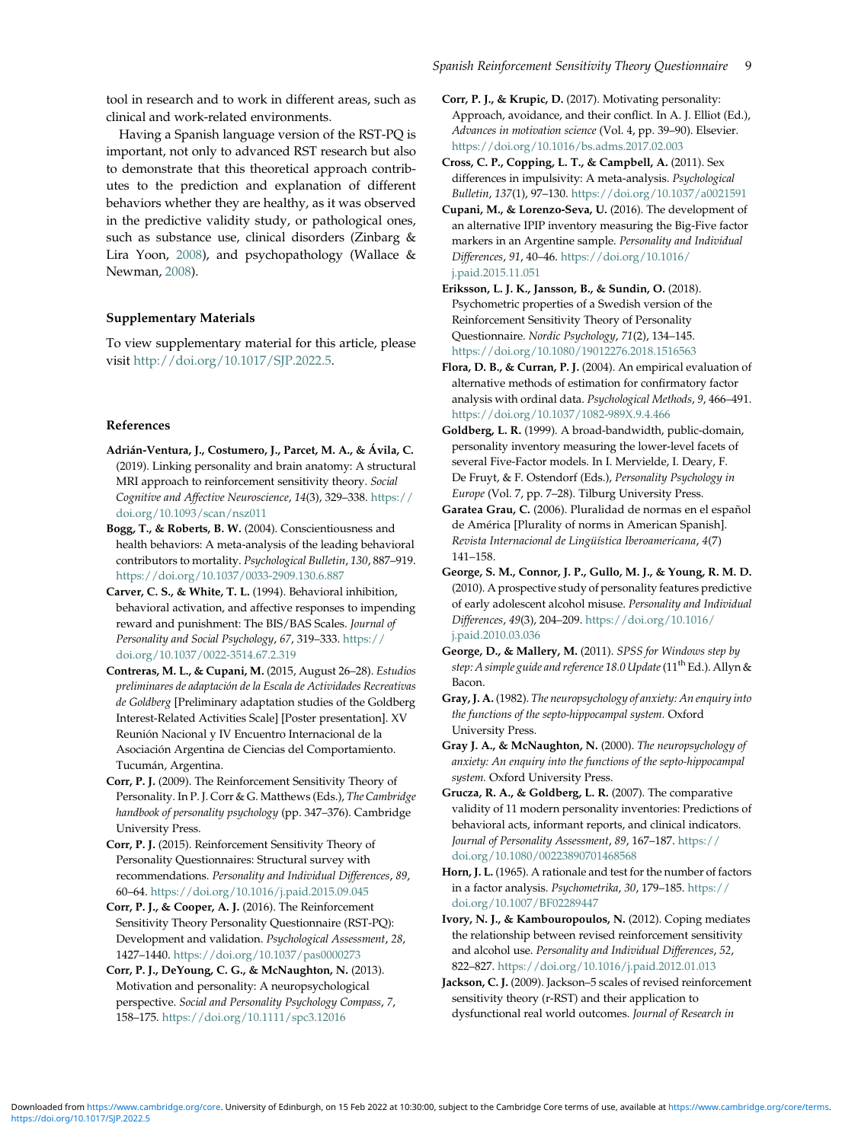<span id="page-8-4"></span>tool in research and to work in different areas, such as clinical and work-related environments.

<span id="page-8-17"></span><span id="page-8-16"></span>Having a Spanish language version of the RST-PQ is important, not only to advanced RST research but also to demonstrate that this theoretical approach contributes to the prediction and explanation of different behaviors whether they are healthy, as it was observed in the predictive validity study, or pathological ones, such as substance use, clinical disorders (Zinbarg & Lira Yoon, [2008](#page-10-0)), and psychopathology (Wallace  $\&$ Newman, [2008\)](#page-9-21).

#### <span id="page-8-9"></span>Supplementary Materials

<span id="page-8-15"></span>To view supplementary material for this article, please visit <http://doi.org/10.1017/SJP.2022.5>.

#### <span id="page-8-11"></span><span id="page-8-3"></span>References

- Adrián-Ventura, J., Costumero, J., Parcet, M. A., & Ávila, C. (2019). Linking personality and brain anatomy: A structural MRI approach to reinforcement sensitivity theory. Social Cognitive and Affective Neuroscience, 14(3), 329–338. [https://](https://doi.org/10.1093/scan/nsz011) [doi.org/10.1093/scan/nsz011](https://doi.org/10.1093/scan/nsz011)
- <span id="page-8-22"></span><span id="page-8-19"></span>Bogg, T., & Roberts, B. W. (2004). Conscientiousness and health behaviors: A meta-analysis of the leading behavioral contributors to mortality. Psychological Bulletin, 130, 887–919. <https://doi.org/10.1037/0033-2909.130.6.887>
- <span id="page-8-18"></span><span id="page-8-5"></span>Carver, C. S., & White, T. L. (1994). Behavioral inhibition, behavioral activation, and affective responses to impending reward and punishment: The BIS/BAS Scales. Journal of Personality and Social Psychology, 67, 319–333. [https://](https://doi.org/10.1037/0022-3514.67.2.319) [doi.org/10.1037/0022-3514.67.2.319](https://doi.org/10.1037/0022-3514.67.2.319)
- <span id="page-8-13"></span><span id="page-8-10"></span><span id="page-8-0"></span>Contreras, M. L., & Cupani, M. (2015, August 26–28). Estudios preliminares de adaptación de la Escala de Actividades Recreativas de Goldberg [Preliminary adaptation studies of the Goldberg Interest-Related Activities Scale] [Poster presentation]. XV Reunión Nacional y IV Encuentro Internacional de la Asociación Argentina de Ciencias del Comportamiento. Tucumán, Argentina.
- <span id="page-8-12"></span><span id="page-8-2"></span><span id="page-8-1"></span>Corr, P. J. (2009). The Reinforcement Sensitivity Theory of Personality. In P. J. Corr & G. Matthews (Eds.), The Cambridge handbook of personality psychology (pp. 347–376). Cambridge University Press.
- <span id="page-8-14"></span><span id="page-8-7"></span>Corr, P. J. (2015). Reinforcement Sensitivity Theory of Personality Questionnaires: Structural survey with recommendations. Personality and Individual Differences, 89, 60–64. <https://doi.org/10.1016/j.paid.2015.09.045>
- <span id="page-8-20"></span><span id="page-8-8"></span>Corr, P. J., & Cooper, A. J. (2016). The Reinforcement Sensitivity Theory Personality Questionnaire (RST-PQ): Development and validation. Psychological Assessment, 28, 1427–1440. <https://doi.org/10.1037/pas0000273>
- <span id="page-8-21"></span><span id="page-8-6"></span>Corr, P. J., DeYoung, C. G., & McNaughton, N. (2013). Motivation and personality: A neuropsychological perspective. Social and Personality Psychology Compass, 7, 158–175. <https://doi.org/10.1111/spc3.12016>
- Corr, P. J., & Krupic, D. (2017). Motivating personality: Approach, avoidance, and their conflict. In A. J. Elliot (Ed.), Advances in motivation science (Vol. 4, pp. 39–90). Elsevier. <https://doi.org/10.1016/bs.adms.2017.02.003>
- Cross, C. P., Copping, L. T., & Campbell, A. (2011). Sex differences in impulsivity: A meta-analysis. Psychological Bulletin, 137(1), 97–130. <https://doi.org/10.1037/a0021591>
- Cupani, M., & Lorenzo-Seva, U. (2016). The development of an alternative IPIP inventory measuring the Big-Five factor markers in an Argentine sample. Personality and Individual Differences, 91, 40–46. [https://doi.org/10.1016/](https://doi.org/10.1016/j.paid.2015.11.051) [j.paid.2015.11.051](https://doi.org/10.1016/j.paid.2015.11.051)
- Eriksson, L. J. K., Jansson, B., & Sundin, O. (2018). Psychometric properties of a Swedish version of the Reinforcement Sensitivity Theory of Personality Questionnaire. Nordic Psychology, 71(2), 134–145. <https://doi.org/10.1080/19012276.2018.1516563>
- Flora, D. B., & Curran, P. J. (2004). An empirical evaluation of alternative methods of estimation for confirmatory factor analysis with ordinal data. Psychological Methods, 9, 466–491. <https://doi.org/10.1037/1082-989X.9.4.466>
- Goldberg, L. R. (1999). A broad-bandwidth, public-domain, personality inventory measuring the lower-level facets of several Five-Factor models. In I. Mervielde, I. Deary, F. De Fruyt, & F. Ostendorf (Eds.), Personality Psychology in Europe (Vol. 7, pp. 7–28). Tilburg University Press.
- Garatea Grau, C. (2006). Pluralidad de normas en el español de América [Plurality of norms in American Spanish]. Revista Internacional de Lingüística Iberoamericana, 4(7) 141–158.
- George, S. M., Connor, J. P., Gullo, M. J., & Young, R. M. D. (2010). A prospective study of personality features predictive of early adolescent alcohol misuse. Personality and Individual Differences, 49(3), 204–209. [https://doi.org/10.1016/](https://doi.org/10.1016/j.paid.2010.03.036) [j.paid.2010.03.036](https://doi.org/10.1016/j.paid.2010.03.036)
- George, D., & Mallery, M. (2011). SPSS for Windows step by step: A simple guide and reference 18.0 Update (11<sup>th</sup> Ed.). Allyn & Bacon.
- Gray, J. A. (1982). The neuropsychology of anxiety: An enquiry into the functions of the septo-hippocampal system. Oxford University Press.
- Gray J. A., & McNaughton, N. (2000). The neuropsychology of anxiety: An enquiry into the functions of the septo-hippocampal system. Oxford University Press.
- Grucza, R. A., & Goldberg, L. R. (2007). The comparative validity of 11 modern personality inventories: Predictions of behavioral acts, informant reports, and clinical indicators. Journal of Personality Assessment, 89, 167–187. [https://](https://doi.org/10.1080/00223890701468568) [doi.org/10.1080/00223890701468568](https://doi.org/10.1080/00223890701468568)
- Horn, J. L. (1965). A rationale and test for the number of factors in a factor analysis. Psychometrika, 30, 179–185. [https://](https://doi.org/10.1007/BF02289447) [doi.org/10.1007/BF02289447](https://doi.org/10.1007/BF02289447)
- Ivory, N. J., & Kambouropoulos, N. (2012). Coping mediates the relationship between revised reinforcement sensitivity and alcohol use. Personality and Individual Differences, 52, 822–827. <https://doi.org/10.1016/j.paid.2012.01.013>
- Jackson, C. J. (2009). Jackson–5 scales of revised reinforcement sensitivity theory (r-RST) and their application to dysfunctional real world outcomes. Journal of Research in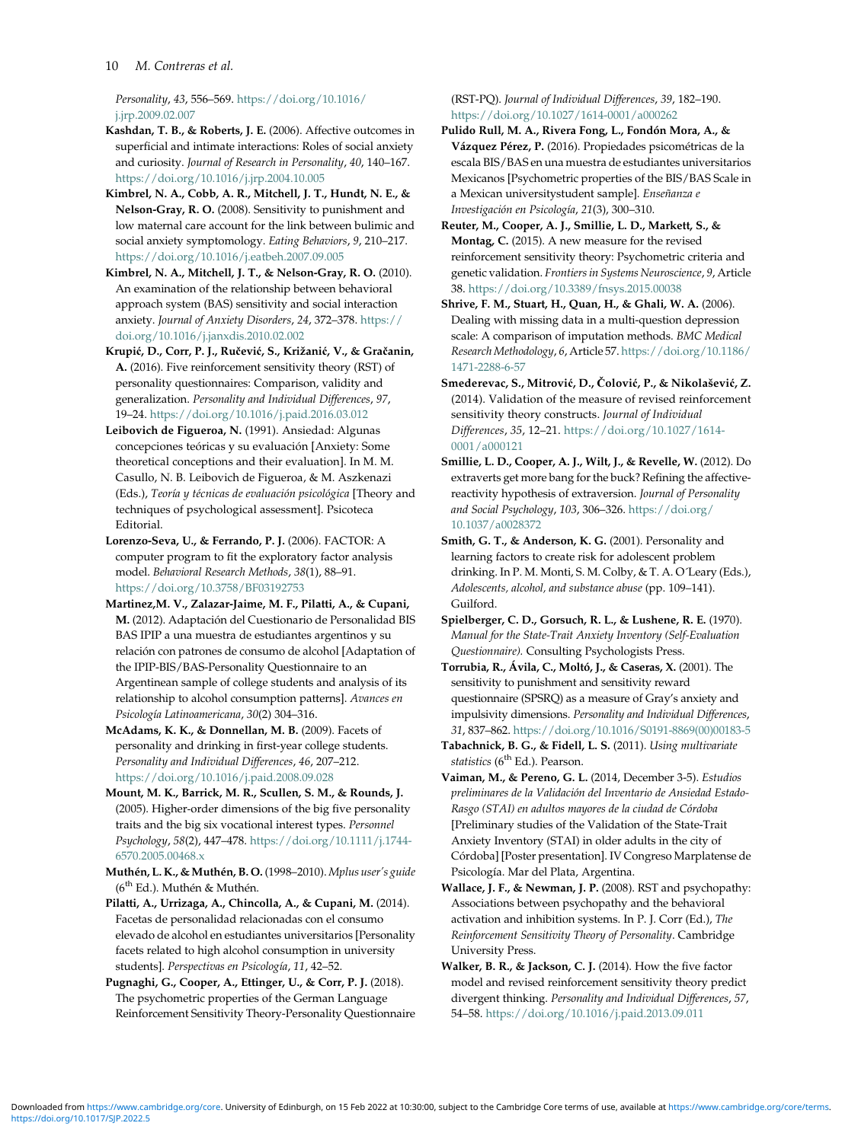Personality, 43, 556–569. [https://doi.org/10.1016/](https://doi.org/10.1016/j.jrp.2009.02.007) [j.jrp.2009.02.007](https://doi.org/10.1016/j.jrp.2009.02.007)

- <span id="page-9-6"></span>Kashdan, T. B., & Roberts, J. E. (2006). Affective outcomes in superficial and intimate interactions: Roles of social anxiety and curiosity. Journal of Research in Personality, 40, 140–167. <https://doi.org/10.1016/j.jrp.2004.10.005>
- <span id="page-9-17"></span><span id="page-9-2"></span>Kimbrel, N. A., Cobb, A. R., Mitchell, J. T., Hundt, N. E., & Nelson-Gray, R. O. (2008). Sensitivity to punishment and low maternal care account for the link between bulimic and social anxiety symptomology. Eating Behaviors, 9, 210–217. <https://doi.org/10.1016/j.eatbeh.2007.09.005>
- <span id="page-9-18"></span><span id="page-9-8"></span>Kimbrel, N. A., Mitchell, J. T., & Nelson-Gray, R. O. (2010). An examination of the relationship between behavioral approach system (BAS) sensitivity and social interaction anxiety. Journal of Anxiety Disorders, 24, 372–378. [https://](https://doi.org/10.1016/j.janxdis.2010.02.002) [doi.org/10.1016/j.janxdis.2010.02.002](https://doi.org/10.1016/j.janxdis.2010.02.002)
- <span id="page-9-3"></span><span id="page-9-1"></span>Krupić, D., Corr, P. J., Ručević, S., Križanić, V., & Gračanin, A. (2016). Five reinforcement sensitivity theory (RST) of personality questionnaires: Comparison, validity and generalization. Personality and Individual Differences, 97, 19–24. <https://doi.org/10.1016/j.paid.2016.03.012>
- <span id="page-9-20"></span><span id="page-9-12"></span>Leibovich de Figueroa, N. (1991). Ansiedad: Algunas concepciones teóricas y su evaluación [Anxiety: Some theoretical conceptions and their evaluation]. In M. M. Casullo, N. B. Leibovich de Figueroa, & M. Aszkenazi (Eds.), Teoría y técnicas de evaluación psicológica [Theory and techniques of psychological assessment]. Psicoteca Editorial.
- <span id="page-9-9"></span>Lorenzo-Seva, U., & Ferrando, P. J. (2006). FACTOR: A computer program to fit the exploratory factor analysis model. Behavioral Research Methods, 38(1), 88–91. <https://doi.org/10.3758/BF03192753>
- <span id="page-9-11"></span><span id="page-9-5"></span><span id="page-9-0"></span>Martinez,M. V., Zalazar-Jaime, M. F., Pilatti, A., & Cupani, M. (2012). Adaptación del Cuestionario de Personalidad BIS BAS IPIP a una muestra de estudiantes argentinos y su relación con patrones de consumo de alcohol [Adaptation of the IPIP-BIS/BAS-Personality Questionnaire to an Argentinean sample of college students and analysis of its relationship to alcohol consumption patterns]. Avances en Psicología Latinoamericana, 30(2) 304–316.
- <span id="page-9-14"></span><span id="page-9-7"></span>McAdams, K. K., & Donnellan, M. B. (2009). Facets of personality and drinking in first-year college students. Personality and Individual Differences, 46, 207–212. <https://doi.org/10.1016/j.paid.2008.09.028>
- <span id="page-9-16"></span><span id="page-9-13"></span>Mount, M. K., Barrick, M. R., Scullen, S. M., & Rounds, J. https://doi.org/10.1016/j.paid.2008.09.028<br> **[ount, M. K., Barrick, M. R., Scullen, S. M., & Rounds, J.**<br>(2005). Higher-order dimensions of the big five personality traits and the big six vocational interest types. Personnel Psychology, 58(2), 447–478. [https://doi.org/10.1111/j.1744-](https://doi.org/10.1111/j.1744-6570.2005.00468.x) [6570.2005.00468.x](https://doi.org/10.1111/j.1744-6570.2005.00468.x)
- <span id="page-9-21"></span><span id="page-9-10"></span>Muthén, L. K., & Muthén, B. O. (1998–2010). Mplus user's guide  $(6^{th}$  Ed.). Muthén & Muthén.
- <span id="page-9-15"></span>Pilatti, A., Urrizaga, A., Chincolla, A., & Cupani, M. (2014). Facetas de personalidad relacionadas con el consumo elevado de alcohol en estudiantes universitarios [Personality facets related to high alcohol consumption in university students]. Perspectivas en Psicología, 11, 42–52.
- <span id="page-9-19"></span><span id="page-9-4"></span>Pugnaghi, G., Cooper, A., Ettinger, U., & Corr, P. J. (2018). The psychometric properties of the German Language Reinforcement Sensitivity Theory-Personality Questionnaire

(RST-PQ). Journal of Individual Differences, 39, 182–190. <https://doi.org/10.1027/1614-0001/a000262>

- Pulido Rull, M. A., Rivera Fong, L., Fondón Mora, A., & Vázquez Pérez, P. (2016). Propiedades psicométricas de la escala BIS/BAS en una muestra de estudiantes universitarios Mexicanos [Psychometric properties of the BIS/BAS Scale in a Mexican universitystudent sample]. Enseñanza e Investigación en Psicología, 21(3), 300–310.
- Reuter, M., Cooper, A. J., Smillie, L. D., Markett, S., & Montag, C. (2015). A new measure for the revised reinforcement sensitivity theory: Psychometric criteria and genetic validation. Frontiers in Systems Neuroscience, 9, Article 38. <https://doi.org/10.3389/fnsys.2015.00038>
- Shrive, F. M., Stuart, H., Quan, H., & Ghali, W. A. (2006). Dealing with missing data in a multi-question depression scale: A comparison of imputation methods. BMC Medical Research Methodology, 6, Article 57. [https://doi.org/10.1186/](https://doi.org/10.1186/1471-2288-6-57) [1471-2288-6-57](https://doi.org/10.1186/1471-2288-6-57)
- Smederevac, S., Mitrović, D., Čolović, P., & Nikolašević, Z. (2014). Validation of the measure of revised reinforcement sensitivity theory constructs. Journal of Individual Differences, 35, 12–21. [https://doi.org/10.1027/1614-](https://doi.org/10.1027/1614-0001/a000121) [0001/a000121](https://doi.org/10.1027/1614-0001/a000121)
- Smillie, L. D., Cooper, A. J., Wilt, J., & Revelle, W. (2012). Do extraverts get more bang for the buck? Refining the affectivereactivity hypothesis of extraversion. Journal of Personality and Social Psychology, 103, 306–326. [https://doi.org/](https://doi.org/10.1037/a0028372) [10.1037/a0028372](https://doi.org/10.1037/a0028372)
- Smith, G. T., & Anderson, K. G. (2001). Personality and learning factors to create risk for adolescent problem drinking. In P. M. Monti, S. M. Colby, & T. A. O´Leary (Eds.), Adolescents, alcohol, and substance abuse (pp. 109–141). Guilford.
- Spielberger, C. D., Gorsuch, R. L., & Lushene, R. E. (1970). Manual for the State-Trait Anxiety Inventory (Self-Evaluation Questionnaire). Consulting Psychologists Press.
- Torrubia, R., Ávila, C., Moltó, J., & Caseras, X. (2001). The sensitivity to punishment and sensitivity reward questionnaire (SPSRQ) as a measure of Gray's anxiety and impulsivity dimensions. Personality and Individual Differences, 31, 837–862. [https://doi.org/10.1016/S0191-8869\(00\)00183-5](https://doi.org/10.1016/S0191-8869(00)00183-5)
- Tabachnick, B. G., & Fidell, L. S. (2011). Using multivariate statistics (6<sup>th</sup> Ed.). Pearson.
- Vaiman, M., & Pereno, G. L. (2014, December 3-5). Estudios preliminares de la Validación del Inventario de Ansiedad Estado-Rasgo (STAI) en adultos mayores de la ciudad de Córdoba [Preliminary studies of the Validation of the State-Trait Anxiety Inventory (STAI) in older adults in the city of Córdoba] [Poster presentation]. IV Congreso Marplatense de Psicología. Mar del Plata, Argentina.
- Wallace, J. F., & Newman, J. P. (2008). RST and psychopathy: Associations between psychopathy and the behavioral activation and inhibition systems. In P. J. Corr (Ed.), The Reinforcement Sensitivity Theory of Personality. Cambridge University Press.
- Walker, B. R., & Jackson, C. J. (2014). How the five factor model and revised reinforcement sensitivity theory predict divergent thinking. Personality and Individual Differences, 57, 54–58. <https://doi.org/10.1016/j.paid.2013.09.011>